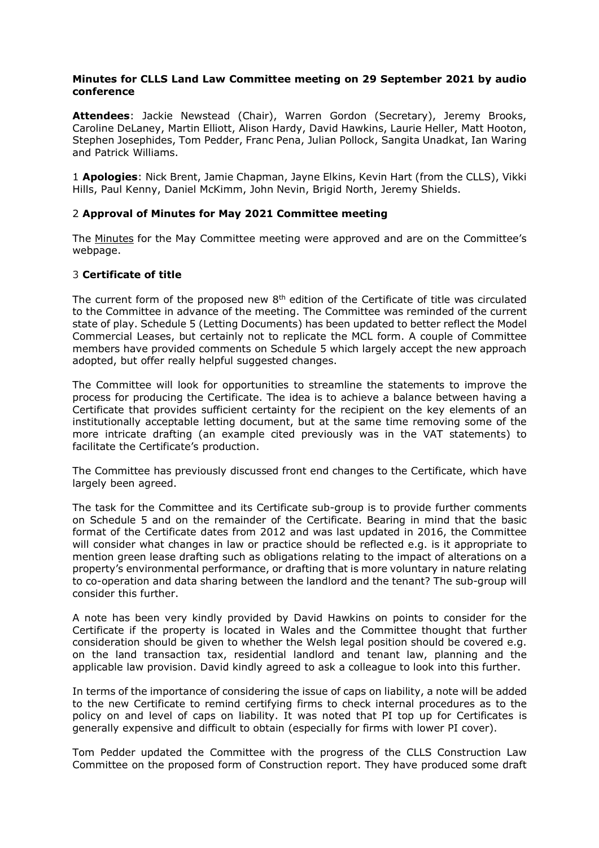## **Minutes for CLLS Land Law Committee meeting on 29 September 2021 by audio conference**

**Attendees**: Jackie Newstead (Chair), Warren Gordon (Secretary), Jeremy Brooks, Caroline DeLaney, Martin Elliott, Alison Hardy, David Hawkins, Laurie Heller, Matt Hooton, Stephen Josephides, Tom Pedder, Franc Pena, Julian Pollock, Sangita Unadkat, Ian Waring and Patrick Williams.

1 **Apologies**: Nick Brent, Jamie Chapman, Jayne Elkins, Kevin Hart (from the CLLS), Vikki Hills, Paul Kenny, Daniel McKimm, John Nevin, Brigid North, Jeremy Shields.

### 2 **Approval of Minutes for May 2021 Committee meeting**

The [Minutes](https://www.citysolicitors.org.uk/storage/2021/06/Minutes-for-May-2021-CLLS-Land-law-commitee.pdf) for the May Committee meeting were approved and are on the Committee's webpage.

### 3 **Certificate of title**

The current form of the proposed new  $8<sup>th</sup>$  edition of the Certificate of title was circulated to the Committee in advance of the meeting. The Committee was reminded of the current state of play. Schedule 5 (Letting Documents) has been updated to better reflect the Model Commercial Leases, but certainly not to replicate the MCL form. A couple of Committee members have provided comments on Schedule 5 which largely accept the new approach adopted, but offer really helpful suggested changes.

The Committee will look for opportunities to streamline the statements to improve the process for producing the Certificate. The idea is to achieve a balance between having a Certificate that provides sufficient certainty for the recipient on the key elements of an institutionally acceptable letting document, but at the same time removing some of the more intricate drafting (an example cited previously was in the VAT statements) to facilitate the Certificate's production.

The Committee has previously discussed front end changes to the Certificate, which have largely been agreed.

The task for the Committee and its Certificate sub-group is to provide further comments on Schedule 5 and on the remainder of the Certificate. Bearing in mind that the basic format of the Certificate dates from 2012 and was last updated in 2016, the Committee will consider what changes in law or practice should be reflected e.g. is it appropriate to mention green lease drafting such as obligations relating to the impact of alterations on a property's environmental performance, or drafting that is more voluntary in nature relating to co-operation and data sharing between the landlord and the tenant? The sub-group will consider this further.

A note has been very kindly provided by David Hawkins on points to consider for the Certificate if the property is located in Wales and the Committee thought that further consideration should be given to whether the Welsh legal position should be covered e.g. on the land transaction tax, residential landlord and tenant law, planning and the applicable law provision. David kindly agreed to ask a colleague to look into this further.

In terms of the importance of considering the issue of caps on liability, a note will be added to the new Certificate to remind certifying firms to check internal procedures as to the policy on and level of caps on liability. It was noted that PI top up for Certificates is generally expensive and difficult to obtain (especially for firms with lower PI cover).

Tom Pedder updated the Committee with the progress of the CLLS Construction Law Committee on the proposed form of Construction report. They have produced some draft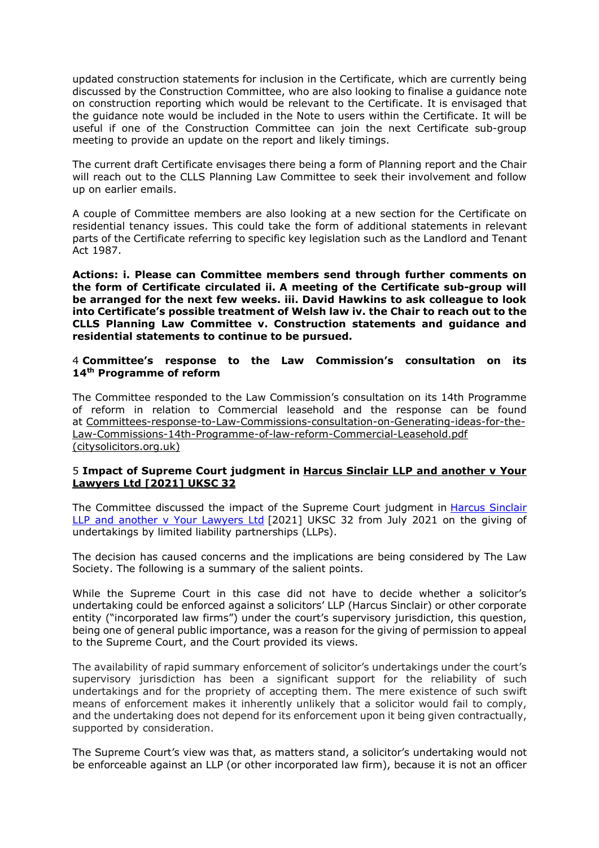updated construction statements for inclusion in the Certificate, which are currently being discussed by the Construction Committee, who are also looking to finalise a guidance note on construction reporting which would be relevant to the Certificate. It is envisaged that the guidance note would be included in the Note to users within the Certificate. It will be useful if one of the Construction Committee can join the next Certificate sub-group meeting to provide an update on the report and likely timings.

The current draft Certificate envisages there being a form of Planning report and the Chair will reach out to the CLLS Planning Law Committee to seek their involvement and follow up on earlier emails.

A couple of Committee members are also looking at a new section for the Certificate on residential tenancy issues. This could take the form of additional statements in relevant parts of the Certificate referring to specific key legislation such as the Landlord and Tenant Act 1987.

**Actions: i. Please can Committee members send through further comments on the form of Certificate circulated ii. A meeting of the Certificate sub-group will be arranged for the next few weeks. iii. David Hawkins to ask colleague to look into Certificate's possible treatment of Welsh law iv. the Chair to reach out to the CLLS Planning Law Committee v. Construction statements and guidance and residential statements to continue to be pursued.**

## 4 **Committee's response to the Law Commission's consultation on its 14th Programme of reform**

The Committee responded to the Law Commission's consultation on its 14th Programme of reform in relation to Commercial leasehold and the response can be found at [Committees-response-to-Law-Commissions-consultation-on-Generating-ideas-for-the-](https://www.citysolicitors.org.uk/storage/2021/07/Committees-response-to-Law-Commissions-consultation-on-Generating-ideas-for-the-Law-Commissions-14th-Programme-of-law-reform-Commercial-Leasehold.pdf)[Law-Commissions-14th-Programme-of-law-reform-Commercial-Leasehold.pdf](https://www.citysolicitors.org.uk/storage/2021/07/Committees-response-to-Law-Commissions-consultation-on-Generating-ideas-for-the-Law-Commissions-14th-Programme-of-law-reform-Commercial-Leasehold.pdf) [\(citysolicitors.org.uk\)](https://www.citysolicitors.org.uk/storage/2021/07/Committees-response-to-Law-Commissions-consultation-on-Generating-ideas-for-the-Law-Commissions-14th-Programme-of-law-reform-Commercial-Leasehold.pdf)

## 5 **Impact of Supreme Court judgment in Harcus Sinclair LLP and [another](https://eur02.safelinks.protection.outlook.com/?url=https%3A%2F%2Fwww.supremecourt.uk%2Fcases%2Fdocs%2Fuksc-2019-0098-judgment.pdf&data=04%7C01%7Cwarren.gordon%40cms-cmno.com%7Cc2e9f45bee864b11eb5e08d96193ea12%7C8ddab29711af4f76b704c18a1d2b702f%7C0%7C0%7C637648110926601776%7CUnknown%7CTWFpbGZsb3d8eyJWIjoiMC4wLjAwMDAiLCJQIjoiV2luMzIiLCJBTiI6Ik1haWwiLCJXVCI6Mn0%3D%7C1000&sdata=KbHjx%2BBwSlONj7874j0gSk0XNi8RnQXo4auKKgynsvY%3D&reserved=0) v Your [Lawyers](https://eur02.safelinks.protection.outlook.com/?url=https%3A%2F%2Fwww.supremecourt.uk%2Fcases%2Fdocs%2Fuksc-2019-0098-judgment.pdf&data=04%7C01%7Cwarren.gordon%40cms-cmno.com%7Cc2e9f45bee864b11eb5e08d96193ea12%7C8ddab29711af4f76b704c18a1d2b702f%7C0%7C0%7C637648110926601776%7CUnknown%7CTWFpbGZsb3d8eyJWIjoiMC4wLjAwMDAiLCJQIjoiV2luMzIiLCJBTiI6Ik1haWwiLCJXVCI6Mn0%3D%7C1000&sdata=KbHjx%2BBwSlONj7874j0gSk0XNi8RnQXo4auKKgynsvY%3D&reserved=0) Ltd [2021] UKSC 32**

The Committee discussed the impact of the Supreme Court judgment in Harcus [Sinclair](https://www.bailii.org/cgi-bin/format.cgi?doc=/uk/cases/UKSC/2021/32.html&query=(title:(+harcus+))+AND+(title:(+sinclair+))+AND+(title:(+your+))+AND+(title:(+lawyers+))) LLP and another v Your [Lawyers](https://www.bailii.org/cgi-bin/format.cgi?doc=/uk/cases/UKSC/2021/32.html&query=(title:(+harcus+))+AND+(title:(+sinclair+))+AND+(title:(+your+))+AND+(title:(+lawyers+))) Ltd [2021] UKSC 32 from July 2021 on the giving of undertakings by limited liability partnerships (LLPs).

The decision has caused concerns and the implications are being considered by The Law Society. The following is a summary of the salient points.

While the Supreme Court in this case did not have to decide whether a solicitor's undertaking could be enforced against a solicitors' LLP (Harcus Sinclair) or other corporate entity ("incorporated law firms") under the court's supervisory jurisdiction, this question, being one of general public importance, was a reason for the giving of permission to appeal to the Supreme Court, and the Court provided its views.

The availability of rapid summary enforcement of solicitor's undertakings under the court's supervisory jurisdiction has been a significant support for the reliability of such undertakings and for the propriety of accepting them. The mere existence of such swift means of enforcement makes it inherently unlikely that a solicitor would fail to comply, and the undertaking does not depend for its enforcement upon it being given contractually, supported by consideration.

The Supreme Court's view was that, as matters stand, a solicitor's undertaking would not be enforceable against an LLP (or other incorporated law firm), because it is not an officer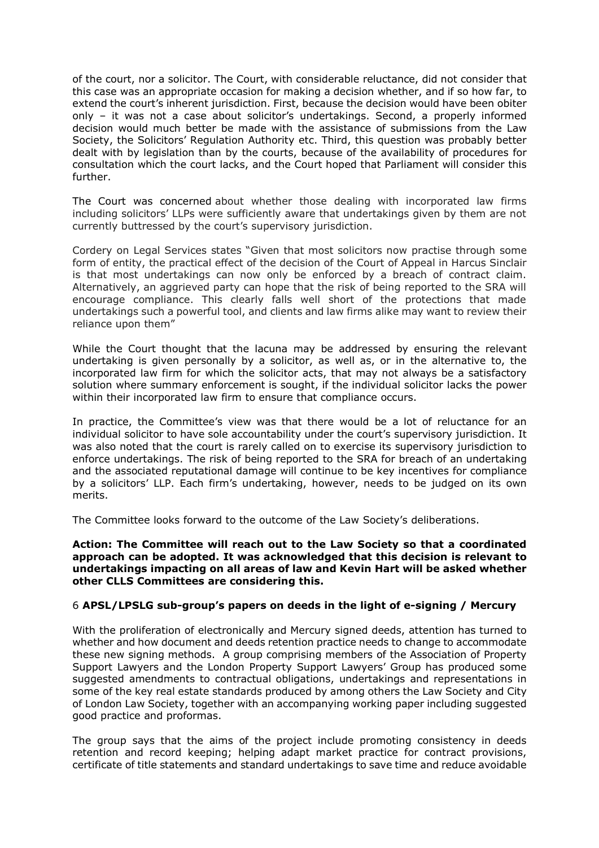of the court, nor a solicitor. The Court, with considerable reluctance, did not consider that this case was an appropriate occasion for making a decision whether, and if so how far, to extend the court's inherent jurisdiction. First, because the decision would have been obiter only – it was not a case about solicitor's undertakings. Second, a properly informed decision would much better be made with the assistance of submissions from the Law Society, the Solicitors' Regulation Authority etc. Third, this question was probably better dealt with by legislation than by the courts, because of the availability of procedures for consultation which the court lacks, and the Court hoped that Parliament will consider this further.

The Court was concerned about whether those dealing with incorporated law firms including solicitors' LLPs were sufficiently aware that undertakings given by them are not currently buttressed by the court's supervisory jurisdiction.

Cordery on Legal Services states "Given that most solicitors now practise through some form of entity, the practical effect of the decision of the Court of Appeal in Harcus Sinclair is that most undertakings can now only be enforced by a breach of contract claim. Alternatively, an aggrieved party can hope that the risk of being reported to the SRA will encourage compliance. This clearly falls well short of the protections that made undertakings such a powerful tool, and clients and law firms alike may want to review their reliance upon them"

While the Court thought that the lacuna may be addressed by ensuring the relevant undertaking is given personally by a solicitor, as well as, or in the alternative to, the incorporated law firm for which the solicitor acts, that may not always be a satisfactory solution where summary enforcement is sought, if the individual solicitor lacks the power within their incorporated law firm to ensure that compliance occurs.

In practice, the Committee's view was that there would be a lot of reluctance for an individual solicitor to have sole accountability under the court's supervisory jurisdiction. It was also noted that the court is rarely called on to exercise its supervisory jurisdiction to enforce undertakings. The risk of being reported to the SRA for breach of an undertaking and the associated reputational damage will continue to be key incentives for compliance by a solicitors' LLP. Each firm's undertaking, however, needs to be judged on its own merits.

The Committee looks forward to the outcome of the Law Society's deliberations.

**Action: The Committee will reach out to the Law Society so that a coordinated approach can be adopted. It was acknowledged that this decision is relevant to undertakings impacting on all areas of law and Kevin Hart will be asked whether other CLLS Committees are considering this.**

### 6 **APSL/LPSLG sub-group's papers on deeds in the light of e-signing / Mercury**

With the proliferation of electronically and Mercury signed deeds, attention has turned to whether and how document and deeds retention practice needs to change to accommodate these new signing methods. A group comprising members of the Association of Property Support Lawyers and the London Property Support Lawyers' Group has produced some suggested amendments to contractual obligations, undertakings and representations in some of the key real estate standards produced by among others the Law Society and City of London Law Society, together with an accompanying working paper including suggested good practice and proformas.

The group says that the aims of the project include promoting consistency in deeds retention and record keeping; helping adapt market practice for contract provisions, certificate of title statements and standard undertakings to save time and reduce avoidable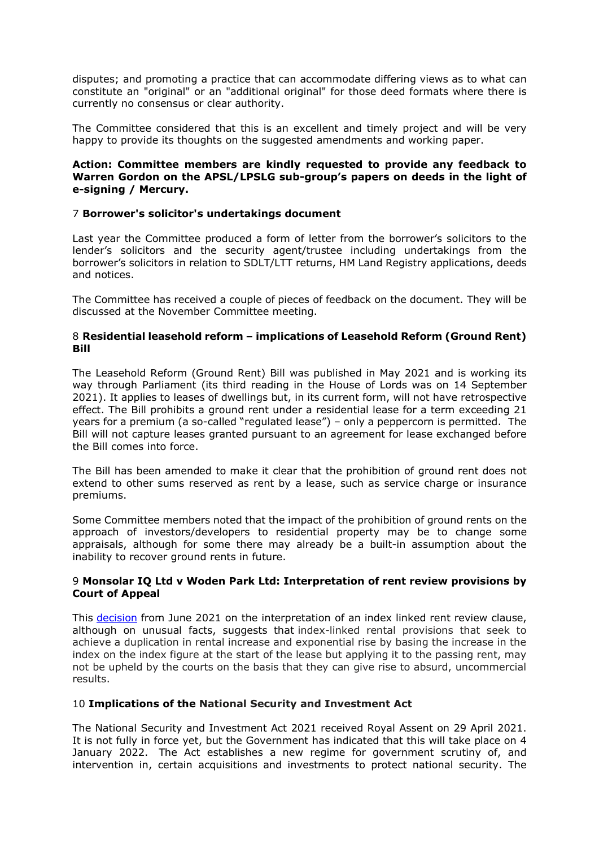disputes; and promoting a practice that can accommodate differing views as to what can constitute an "original" or an "additional original" for those deed formats where there is currently no consensus or clear authority.

The Committee considered that this is an excellent and timely project and will be very happy to provide its thoughts on the suggested amendments and working paper.

## **Action: Committee members are kindly requested to provide any feedback to Warren Gordon on the APSL/LPSLG sub-group's papers on deeds in the light of e-signing / Mercury.**

## 7 **Borrower's solicitor's undertakings document**

Last year the Committee produced a form of letter from the borrower's solicitors to the lender's solicitors and the security agent/trustee including undertakings from the borrower's solicitors in relation to SDLT/LTT returns, HM Land Registry applications, deeds and notices.

The Committee has received a couple of pieces of feedback on the document. They will be discussed at the November Committee meeting.

## 8 **Residential leasehold reform – implications of Leasehold Reform (Ground Rent) Bill**

The Leasehold Reform (Ground Rent) Bill was published in May 2021 and is working its way through Parliament (its third reading in the House of Lords was on 14 September 2021). It applies to leases of dwellings but, in its current form, will not have retrospective effect. The Bill prohibits a ground rent under a residential lease for a term exceeding 21 years for a premium (a so-called "regulated lease") – only a peppercorn is permitted. The Bill will not capture leases granted pursuant to an agreement for lease exchanged before the Bill comes into force.

The Bill has been amended to make it clear that the prohibition of ground rent does not extend to other sums reserved as rent by a lease, such as service charge or insurance premiums.

Some Committee members noted that the impact of the prohibition of ground rents on the approach of investors/developers to residential property may be to change some appraisals, although for some there may already be a built-in assumption about the inability to recover ground rents in future.

## 9 **Monsolar IQ Ltd v Woden Park Ltd: Interpretation of rent review provisions by Court of Appeal**

This [decision](https://www.bailii.org/cgi-bin/format.cgi?doc=/ew/cases/EWCA/Civ/2021/961.html&query=(title:(+monsolar+))+AND+(title:(+woden+))) from June 2021 on the interpretation of an index linked rent review clause, although on unusual facts, suggests that index-linked rental provisions that seek to achieve a duplication in rental increase and exponential rise by basing the increase in the index on the index figure at the start of the lease but applying it to the passing rent, may not be upheld by the courts on the basis that they can give rise to absurd, uncommercial results.

# 10 **Implications of the National Security and Investment Act**

The National Security and Investment Act 2021 received Royal Assent on 29 April 2021. It is not fully in force yet, but the Government has indicated that this will take place on 4 January 2022. The Act establishes a new regime for government scrutiny of, and intervention in, certain acquisitions and investments to protect national security. The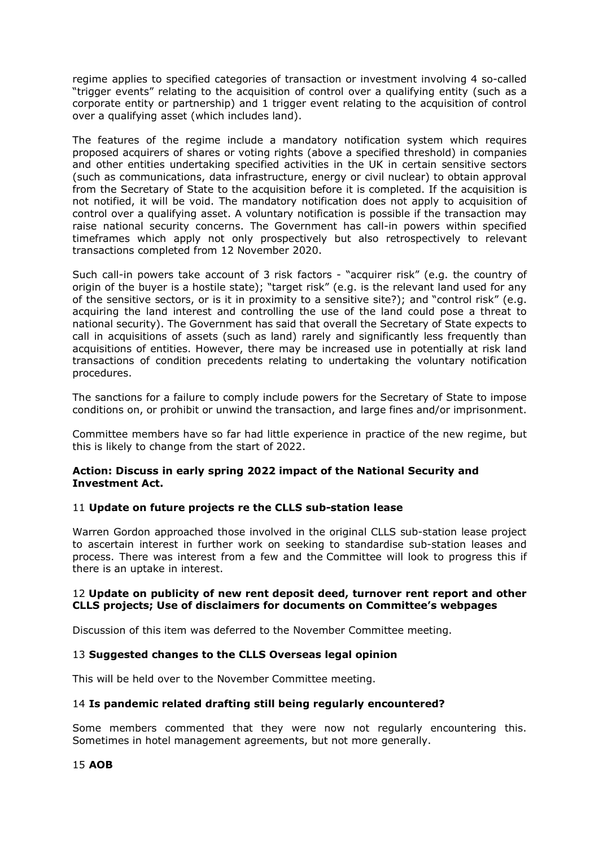regime applies to specified categories of transaction or investment involving 4 so-called "trigger events" relating to the acquisition of control over a qualifying entity (such as a corporate entity or partnership) and 1 trigger event relating to the acquisition of control over a qualifying asset (which includes land).

The features of the regime include a mandatory notification system which requires proposed acquirers of shares or voting rights (above a specified threshold) in companies and other entities undertaking specified activities in the UK in certain sensitive sectors (such as communications, data infrastructure, energy or civil nuclear) to obtain approval from the Secretary of State to the acquisition before it is completed. If the acquisition is not notified, it will be void. The mandatory notification does not apply to acquisition of control over a qualifying asset. A voluntary notification is possible if the transaction may raise national security concerns. The Government has call-in powers within specified timeframes which apply not only prospectively but also retrospectively to relevant transactions completed from 12 November 2020.

Such call-in powers take account of 3 risk factors - "acquirer risk" (e.g. the country of origin of the buyer is a hostile state); "target risk" (e.g. is the relevant land used for any of the sensitive sectors, or is it in proximity to a sensitive site?); and "control risk" (e.g. acquiring the land interest and controlling the use of the land could pose a threat to national security). The Government has said that overall the Secretary of State expects to call in acquisitions of assets (such as land) rarely and significantly less frequently than acquisitions of entities. However, there may be increased use in potentially at risk land transactions of condition precedents relating to undertaking the voluntary notification procedures.

The sanctions for a failure to comply include powers for the Secretary of State to impose conditions on, or prohibit or unwind the transaction, and large fines and/or imprisonment.

Committee members have so far had little experience in practice of the new regime, but this is likely to change from the start of 2022.

## **Action: Discuss in early spring 2022 impact of the National Security and Investment Act.**

# 11 **Update on future projects re the CLLS sub-station lease**

Warren Gordon approached those involved in the original CLLS sub-station lease project to ascertain interest in further work on seeking to standardise sub-station leases and process. There was interest from a few and the Committee will look to progress this if there is an uptake in interest.

### 12 **Update on publicity of new rent deposit deed, turnover rent report and other CLLS projects; Use of disclaimers for documents on Committee's webpages**

Discussion of this item was deferred to the November Committee meeting.

### 13 **Suggested changes to the CLLS Overseas legal opinion**

This will be held over to the November Committee meeting.

### 14 **Is pandemic related drafting still being regularly encountered?**

Some members commented that they were now not regularly encountering this. Sometimes in hotel management agreements, but not more generally.

15 **AOB**